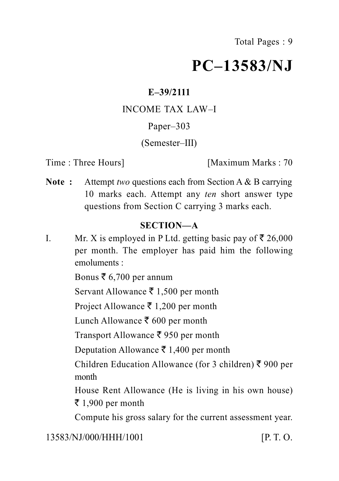## **PC–13583/NJ**

#### **E–39/2111**

#### INCOME TAX LAW–I

### Paper–303

#### (Semester–III)

Time : Three Hours **I** Maximum Marks : 70

**Note :** Attempt *two* questions each from Section A & B carrying 10 marks each. Attempt any *ten* short answer type questions from Section C carrying 3 marks each.

## **SECTION—A**

I. Mr. X is employed in P Ltd. getting basic pay of  $\bar{\tau}$  26,000 per month. The employer has paid him the following emoluments :

Bonus  $\bar{\bar{\xi}}$  6,700 per annum

Servant Allowance  $\bar{\tau}$  1,500 per month

Project Allowance  $\bar{\tau}$  1,200 per month

Lunch Allowance ₹ 600 per month

Transport Allowance  $\bar{\xi}$  950 per month

Deputation Allowance  $\bar{\tau}$  1,400 per month

Children Education Allowance (for 3 children)  $\bar{\xi}$  900 per month

House Rent Allowance (He is living in his own house)  $\bar{\tau}$  1,900 per month

Compute his gross salary for the current assessment year.

13583/NJ/000/HHH/1001 [P. T. O.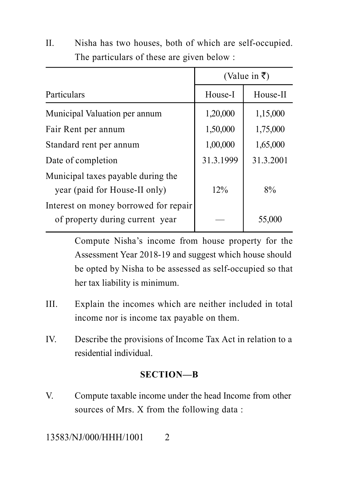|                                                                          | (Value in ₹) |           |
|--------------------------------------------------------------------------|--------------|-----------|
| Particulars                                                              | House-I      | House-II  |
| Municipal Valuation per annum                                            | 1,20,000     | 1,15,000  |
| Fair Rent per annum                                                      | 1,50,000     | 1,75,000  |
| Standard rent per annum                                                  | 1,00,000     | 1,65,000  |
| Date of completion                                                       | 31.3.1999    | 31.3.2001 |
| Municipal taxes payable during the<br>year (paid for House-II only)      | 12%          | 8%        |
| Interest on money borrowed for repair<br>of property during current year |              | 55,000    |

II. Nisha has two houses, both of which are self-occupied. The particulars of these are given below :

> Compute Nisha's income from house property for the Assessment Year 2018-19 and suggest which house should be opted by Nisha to be assessed as self-occupied so that her tax liability is minimum.

- III. Explain the incomes which are neither included in total income nor is income tax payable on them.
- IV. Describe the provisions of Income Tax Act in relation to a residential individual.

#### **SECTION—B**

V. Compute taxable income under the head Income from other sources of Mrs. X from the following data :

13583/NJ/000/HHH/1001 2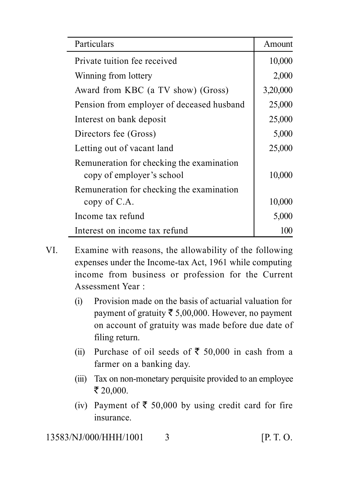| Particulars                                                            | Amount   |
|------------------------------------------------------------------------|----------|
| Private tuition fee received                                           | 10,000   |
| Winning from lottery                                                   | 2,000    |
| Award from KBC (a TV show) (Gross)                                     | 3,20,000 |
| Pension from employer of deceased husband                              | 25,000   |
| Interest on bank deposit                                               | 25,000   |
| Directors fee (Gross)                                                  | 5,000    |
| Letting out of vacant land                                             | 25,000   |
| Remuneration for checking the examination<br>copy of employer's school | 10,000   |
| Remuneration for checking the examination<br>copy of C.A.              | 10,000   |
| Income tax refund                                                      | 5,000    |
| Interest on income tax refund                                          | 100      |

- VI. Examine with reasons, the allowability of the following expenses under the Income-tax Act, 1961 while computing income from business or profession for the Current Assessment Year :
	- (i) Provision made on the basis of actuarial valuation for payment of gratuity  $\bar{\tau}$  5,00,000. However, no payment on account of gratuity was made before due date of filing return.
	- (ii) Purchase of oil seeds of  $\bar{\tau}$  50,000 in cash from a farmer on a banking day.
	- (iii) Tax on non-monetary perquisite provided to an employee  $\bar{x}$  20,000.
	- (iv) Payment of  $\bar{\tau}$  50,000 by using credit card for fire insurance.

13583/NJ/000/HHH/1001 3 [P. T. O.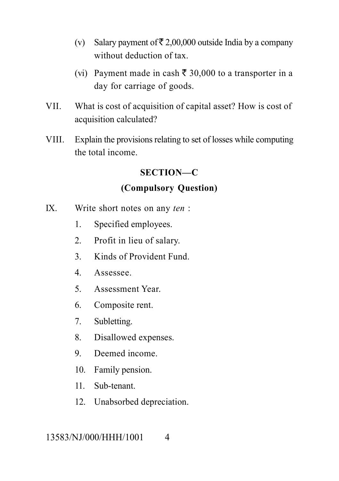- (v) Salary payment of  $\bar{\tau}$  2,00,000 outside India by a company without deduction of tax.
- (vi) Payment made in cash  $\bar{\tau}$  30,000 to a transporter in a day for carriage of goods.
- VII. What is cost of acquisition of capital asset? How is cost of acquisition calculated?
- VIII. Explain the provisions relating to set of losses while computing the total income.

#### **SECTION—C**

#### **(Compulsory Question)**

- IX. Write short notes on any *ten* :
	- 1. Specified employees.
	- 2. Profit in lieu of salary.
	- 3. Kinds of Provident Fund.
	- 4. Assessee.
	- 5. Assessment Year.
	- 6. Composite rent.
	- 7. Subletting.
	- 8. Disallowed expenses.
	- 9. Deemed income.
	- 10. Family pension.
	- 11. Sub-tenant.
	- 12. Unabsorbed depreciation.

#### 13583/NJ/000/HHH/1001 4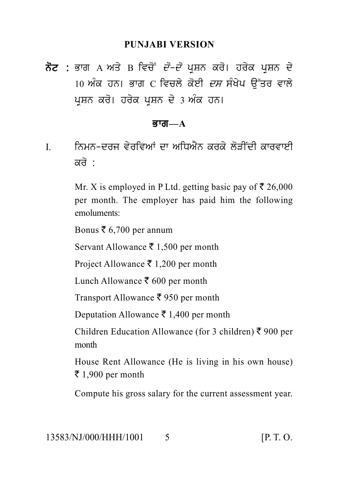#### **PUNJABI VERSION**

PUNJABI VERSION<br>ਨੋਟ : ਭਾਗ A ਅਤੇ B ਵਿਚੋਂ *ਦੋ–ਦੋ* ਪ੍ਰਸ਼ਨ ਕਰੋ। ਹਰੇਕ ਪ੍ਰਸ਼ਨ ਦੇ<br>10 ਅੰਕ ਹਨ। ਭਾਗ C ਵਿਚਲੇ ਕੋਈ *ਦਸ* ਸੰਖੇਪ ਉੱਤਰ ਵਾਲੇ<br>ਪੁਸ਼ਨ ਕਰੋ। ਹਰੇਕ ਪੁਸ਼ਨ ਦੇ 3 ਅੰਕ ਹਨ। PUNJABI VERSION<br>ਭਾਗ A ਅਤੇ B ਵਿਚੋਂ *ਦੋ–ਦੋ* ਪ੍ਰਸ਼ਨ ਕਰੋ। ਹਰੇਕ ਪ੍ਰਸ਼ਨ ਦੇ<br>10 ਅੰਕ ਹਨ। ਭਾਗ C ਵਿਚਲੇ ਕੋਈ *ਦਸ* ਸੰਖੇਪ ਉੱਤਰ ਵਾਲੇ<br>ਪ੍ਰਸ਼ਨ ਕਰੋ। ਹਰੇਕ ਪ੍ਰਸ਼ਨ ਦੇ 3 ਅੰਕ ਹਨ। **ਨੋਟ :** ਭਾਗ A ਅਤੇ B ਵਿਚੋਂ *ਦੋ–ਦੋ* ਪ੍ਰਸ਼ਨ ਕਰੋ। ਹਰੇਕ ਪ੍ਰਸ਼ਨ ਦੇ<br>10 ਅੰਕ ਹਨ। ਭਾਗ C ਵਿਚਲੇ ਕੋਈ *ਦਸ* ਸੰਖੇਪ ਉੱਤਰ ਵਾਲੇ<br>ਪਸ਼ਨ ਕਰੋ। ਹਰੇਕ ਪਸ਼ਨ ਦੇ 3 ਅੰਕ ਹਨ।

#### Bwg**—A**

ਪ੍ਰਸ਼ਨ ਕਰੋ। ਹਰੇਕ ਪ੍ਰਸ਼ਨ ਦੇ 3 ਅੰਕ ਹਨ।<br>ਭਾਗ—A<br>I. ਨਿਮਨ-ਦਰਜ ਵੇਰਵਿਆਂ ਦਾ ਅਧਿਐਨ ਕਰਕੇ ਲੋੜੀਂਦੀ ਕਾਰਵਾਈ<br>ਕਰੋ : ਨਿਮਨ-ਦਰਜ ਵੇਰਵਿਆਂ ਦਾ ਅਧਿਐਨ ਕਰਕੇ ਲੋੜੀਂਦੀ ਕਾਰਵਾਈ<br>ਕਰੋ :

Mr. X is employed in P Ltd. getting basic pay of  $\bar{\tau}$  26,000 per month. The employer has paid him the following emoluments:

Bonus  $\bar{\xi}$  6,700 per annum

Servant Allowance  $\bar{\tau}$  1,500 per month

Project Allowance  $\bar{\xi}$  1,200 per month

Lunch Allowance  $\bar{\xi}$  600 per month

Transport Allowance  $\bar{\tau}$  950 per month

Deputation Allowance ₹ 1,400 per month

Children Education Allowance (for 3 children)  $\bar{\xi}$  900 per month

House Rent Allowance (He is living in his own house)  $\bar{\tau}$  1,900 per month

Compute his gross salary for the current assessment year.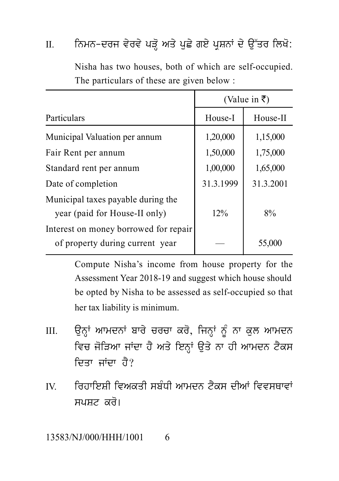|                                                                          | (Value in ₹) |           |
|--------------------------------------------------------------------------|--------------|-----------|
| Particulars                                                              | House-I      | House-II  |
| Municipal Valuation per annum                                            | 1,20,000     | 1,15,000  |
| Fair Rent per annum                                                      | 1,50,000     | 1,75,000  |
| Standard rent per annum                                                  | 1,00,000     | 1,65,000  |
| Date of completion                                                       | 31.3.1999    | 31.3.2001 |
| Municipal taxes payable during the<br>year (paid for House-II only)      | 12%          | 8%        |
| Interest on money borrowed for repair<br>of property during current year |              | 55,000    |

II. fਨਮਨ-ਦਰਜ ਵੇਰਵੇ ਪੜ੍ਹੋ ਅਤੇ ਪੁਛੇ ਗਏ ਪ੍ਰਸ਼ਨਾਂ ਦੇ ਉੱਤਰ ਲਿਖੋ:<br>Nisha has two houses, both of which are self-occupied. Nisha has two houses, both of which are self-occupied. The particulars of these are given below :

Compute Nisha's income from house property for the Assessment Year 2018-19 and suggest which house should be opted by Nisha to be assessed as self-occupied so that her tax liability is minimum.

- Assessment rear 2016-19 and suggest which house should<br>be opted by Nisha to be assessed as self-occupied so that<br>her tax liability is minimum.<br>III. ਉਨ੍ਹਾਂ ਆਮਦਨਾਂ ਬਾਰੇ ਚਰਚਾ ਕਰੋ, ਜਿਨ੍ਹਾਂ ਨੂੰ ਨਾ ਕੁਲ ਆਮਦਨ<br>ਵਿਚ ਜੋੜਿਆ ਜਾਂਦਾ ਹੈ ਅ coopted by minimum.<br>her tax liability is minimum.<br>ਉਨ੍ਹਾਂ ਆਮਦਨਾਂ ਬਾਰੇ ਚਰਚਾ ਕਰੋ, ਜਿਨ੍ਹਾਂ ਨੂੰ ਨਾ ਕੁਲ ਆਮਦਨ<br>ਵਿਚ ਜੋੜਿਆ ਜਾਂਦਾ ਹੈ ਅਤੇ ਇਨ੍ਹਾਂ ਉਤੇ ਨਾ ਹੀ ਆਮਦਨ ਟੈਕਸ<br>ਦਿਤਾ ਜਾਂਦਾ ਹੈ? --- --- --------- --<br>ਉਨ੍ਹਾਂ ਆਮਦਨਾਂ ਬਾਰੇ ਚਰਚਾ ਕਰੋ, ਜਿਨ੍ਹਾਂ<br>ਵਿਚ ਜੋੜਿਆ ਜਾਂਦਾ ਹੈ ਅਤੇ ਇਨ੍ਹਾਂ ਉਤੇ<br>ਦਿਤਾ ਜਾਂਦਾ ਹੈ?<br>ਰਿਹਾਇਸ਼ੀ ਵਿਅਕਤੀ ਸਬੰਧੀ ਆਮਦਨ ਟੈਂ IIT ਵਿੱਚ ਜੋੜਿਆ ਜਾਂਦਾ ਹੈ ਅਤੇ ਇਨ੍ਹਾਂ ਉਤੇ ਨਾ ਹੀ ਆਮਦਨ ਟੈਕਸ<br>ਵਿਤਾ ਜਾਂਦਾ ਹੈ?<br>IV. ਗਿਹਾਇਸ਼ੀ ਵਿਅਕਤੀ ਸਬੰਧੀ ਆਮਦਨ ਟੈਕਸ ਦੀਆਂ ਵਿਵਸਥਾਵਾਂ<br>ਸਪਸ਼ਟ ਕਰੋ।
- ਦਿਤਾ ਜਾਂਦਾ ਹੈ?<br>ਰਿਹਾਇਸ਼ੀ ਵਿਅਕਤੀ ਸਬੰਧੀ ਆਮਦਨ ਟੈਕਸ ਦੀਆਂ ਵਿਵਸਥਾਵਾਂ<br>ਸਪਸਟ ਕਰੋ।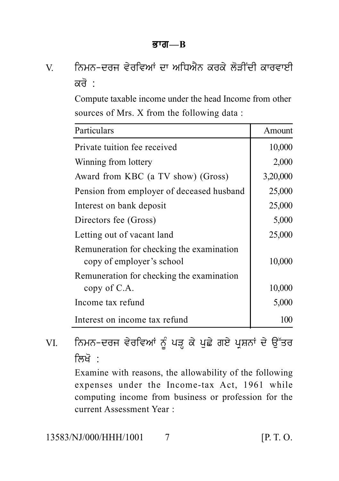# ਤਾਗ—B<br>V. ਨਿਮਨ-ਦਰਜ ਵੇਰਵਿਆਂ ਦਾ ਅਧਿਐਨ ਕਰਕੇ ਲੋੜੀਂਦੀ ਕਾਰਵਾਈ<br>ਕਰੋ :<br>Compute taxable income under the head Income from other ਨਿਮਨ-ਦਰਜ ਵੇਰਵਿਆਂ ਦਾ ਅਧਿਐਨ ਕਰਕੇ ਲੋੜੀਂਦੀ ਕਾਰਵਾਈ<br>ਕਰੋ

Compute taxable income under the head Income from other sources of Mrs. X from the following data :

| 10,000<br>2,000<br>3,20,000<br>25,000                 |
|-------------------------------------------------------|
|                                                       |
|                                                       |
|                                                       |
|                                                       |
| 25,000                                                |
| 5,000                                                 |
| 25,000                                                |
| 10,000                                                |
| 10,000                                                |
| 5,000                                                 |
| 100                                                   |
| ਨਿਮਨ-ਦਰਜ ਵੇਰਵਿਆਂ ਨੂੰ ਪੜ੍ਹ ਕੇ ਪੁਛੇ ਗਏ ਪ੍ਰਸ਼ਨਾਂ ਦੇ ਉੱਤਰ |

Examine with reasons, the allowability of the following expenses under the Income-tax Act, 1961 while computing income from business or profession for the current Assessment Year :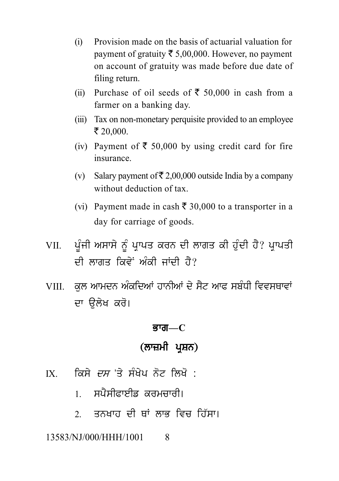- (i) Provision made on the basis of actuarial valuation for payment of gratuity  $\bar{\tau}$  5,00,000. However, no payment on account of gratuity was made before due date of filing return.
- (ii) Purchase of oil seeds of  $\bar{\tau}$  50,000 in cash from a farmer on a banking day.
- (iii) Tax on non-monetary perquisite provided to an employee  $\bar{x}$  20,000.
- (iv) Payment of  $\bar{\tau}$  50,000 by using credit card for fire insurance.
- (v) Salary payment of  $\bar{\mathfrak{g}}$  2,00,000 outside India by a company without deduction of tax.
- (vi) Payment made in cash  $\bar{\tau}$  30,000 to a transporter in a day for carriage of goods.
- (vi) Payment made in cash ₹ 30,000 to a transporter in a<br>day for carriage of goods.<br>VII. ਪੂੰਜੀ ਅਸਾਸੇ ਨੂੰ ਪ੍ਰਾਪਤ ਕਰਨ ਦੀ ਲਾਗਤ ਕੀ ਹੁੰਦੀ ਹੈ? ਪ੍ਰਾਪਤੀ<br>ਦੀ ਲਾਗਤ ਕਿਵੇਂ ਅੰਕੀ ਜਾਂਦੀ ਹੈ? ਕਿਸਾਨ ਨਾਲ ਕਾਲ ਦਾ ਸਾਹਮੀ ਹਨ।<br>ਪੂੰਜੀ ਅਸਾਸੇ ਨੂੰ ਪ੍ਰਾਪਤ ਕਰਨ ਦੀ ਲਾਗਤ ਕੀ ਹੁੰਦੀ ਹੈ? ਪ੍ਰਾ<br>ਦੀ ਲਾਗਤ ਕਿਵੇਂ ਅੰਕੀ ਜਾਂਦੀ ਹੈ?<br>ਕੁਲ ਆਮਦਨ ਅੰਕਦਿਆਂ ਹਾਨੀਆਂ ਦੇ ਸੈਟ ਆਫ ਸਬੰਧੀ ਵਿਵਸਾ VII. ਪੂੰਜੀ ਅਸਾਸੇ ਨੂੰ ਪ੍ਰਾਪਤ ਕਰਨ ਦੀ ਲਾਗਤ ਕੀ ਹੁੰਦੀ ਹੈ? ਪ੍ਰਾਪਤੀ<br>ਦੀ ਲਾਗਤ ਕਿਵੇਂ ਅੰਕੀ ਜਾਂਦੀ ਹੈ?<br>VIII. ਕੁਲ ਆਮਦਨ ਅੰਕਦਿਆਂ ਹਾਨੀਆਂ ਦੇ ਸੈਟ ਆਫ ਸਬੰਧੀ ਵਿਵਸਥਾਵਾਂ<br>ਦਾ ਉਲੇਖ ਕਰੋ।
- ਦੀ ਲਾਗਤ ਕਿਵੇਂ ਅੰਕੀ ਜਾਂਦੀ ਹੈ?<br>VIII. ਕੁਲ ਆਮਦਨ ਅੰਕਦਿਆਂ ਹਾਨੀਆਂ ਦੇ ਸੈਟ ਆਫ ਸਬੰਧੀ ਵਿਵਸਥਾਵਾਂ<br>ਦਾ ਓੇਲੇਖ ਕਰੋ। **ਭਾਗ—C**<br>(**ਲਾਜ਼ਮੀ ਪ੍ਰਸ਼ਨ)**<br>ਪਿ ਨੋਟ ਲਿਖੋ :

#### <u>ब्राता—C</u>

- ਭਾਗ—C<br>(ਲਾਜ਼ਮੀ ਪ੍ਰਸ਼ਨ)<br>IX. ਕਿਸੇ *ਦਸ* 'ਤੇ ਸੰਖੇਪ ਨੋਟ ਲਿਖੋ :<br>1. ਸਪੈਸੀਫਾਈਡ ਕਰਮਚਾਰੀ।
	-
	- **(ਲਾਜ਼ਮੀ ਪ੍ਰਸ਼ਨ)**<br>ਕਿਸੇ *ਦਸ* 'ਤੇ ਸੰਖੇਪ ਨੋਟ ਲਿਖੋ :<br>1. ਸਪੈਸੀਫਾਈਡ ਕਰਮਚਾਰੀ।<br>2. ਤਨਖਾਹ ਦੀ ਥਾਂ ਲਾਭ ਵਿਚ ਹਿੱਸਾ। ਕਿਸੇ *ਦਸ* 'ਤੇ ਸੰਖੇਪ ਨੋਟ ਲਿਖੋ :<br>1. ਸਪੈਸੀਫਾਈਡ ਕਰਮਚਾਰੀ।<br>2. ਤਨਖਾਹ ਦੀ ਥਾਂ ਲਾਭ ਵਿਚ ਹਿੱਸਾ।<br>NJ/000/HHH/1001 8

#### 13583/NJ/000/HHH/1001 8